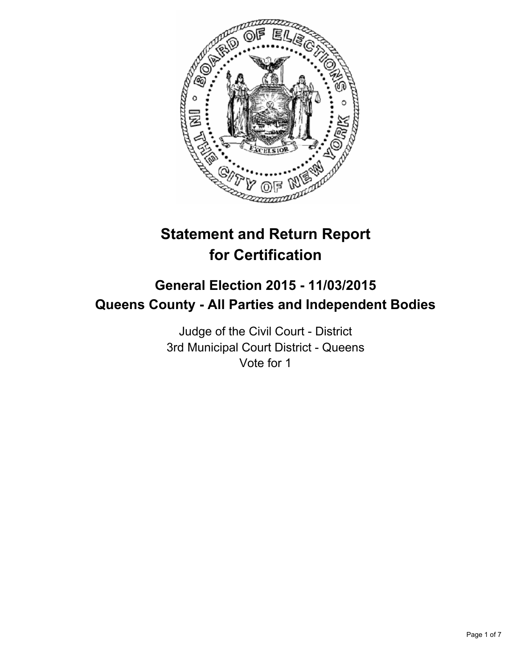

# **Statement and Return Report for Certification**

# **General Election 2015 - 11/03/2015 Queens County - All Parties and Independent Bodies**

Judge of the Civil Court - District 3rd Municipal Court District - Queens Vote for 1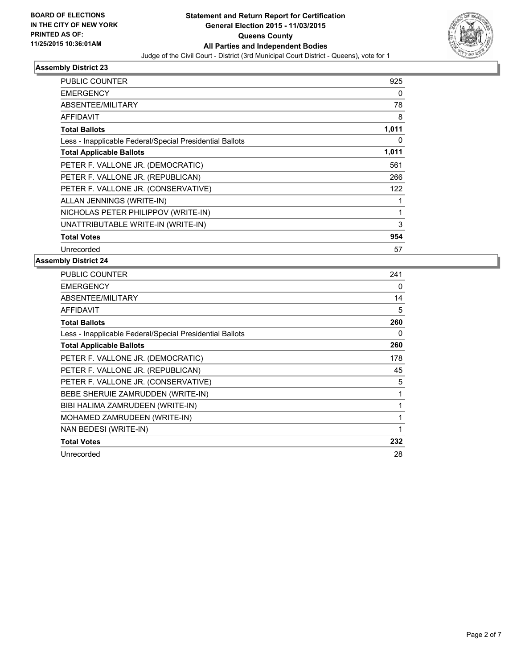

| <b>PUBLIC COUNTER</b>                                    | 925   |
|----------------------------------------------------------|-------|
| <b>EMERGENCY</b>                                         | 0     |
| ABSENTEE/MILITARY                                        | 78    |
| <b>AFFIDAVIT</b>                                         | 8     |
| <b>Total Ballots</b>                                     | 1,011 |
| Less - Inapplicable Federal/Special Presidential Ballots | 0     |
| <b>Total Applicable Ballots</b>                          | 1,011 |
| PETER F. VALLONE JR. (DEMOCRATIC)                        | 561   |
| PETER F. VALLONE JR. (REPUBLICAN)                        | 266   |
| PETER F. VALLONE JR. (CONSERVATIVE)                      | 122   |
| ALLAN JENNINGS (WRITE-IN)                                |       |
| NICHOLAS PETER PHILIPPOV (WRITE-IN)                      | 1     |
| UNATTRIBUTABLE WRITE-IN (WRITE-IN)                       | 3     |
| <b>Total Votes</b>                                       | 954   |
| Unrecorded                                               | 57    |

| <b>PUBLIC COUNTER</b>                                    | 241          |
|----------------------------------------------------------|--------------|
| <b>EMERGENCY</b>                                         | 0            |
| ABSENTEE/MILITARY                                        | 14           |
| <b>AFFIDAVIT</b>                                         | 5            |
| <b>Total Ballots</b>                                     | 260          |
| Less - Inapplicable Federal/Special Presidential Ballots | 0            |
| <b>Total Applicable Ballots</b>                          | 260          |
| PETER F. VALLONE JR. (DEMOCRATIC)                        | 178          |
| PETER F. VALLONE JR. (REPUBLICAN)                        | 45           |
| PETER F. VALLONE JR. (CONSERVATIVE)                      | 5            |
| BEBE SHERUIE ZAMRUDDEN (WRITE-IN)                        | $\mathbf{1}$ |
| BIBI HALIMA ZAMRUDEEN (WRITE-IN)                         | 1            |
| MOHAMED ZAMRUDEEN (WRITE-IN)                             | 1            |
| NAN BEDESI (WRITE-IN)                                    | 1            |
| <b>Total Votes</b>                                       | 232          |
| Unrecorded                                               | 28           |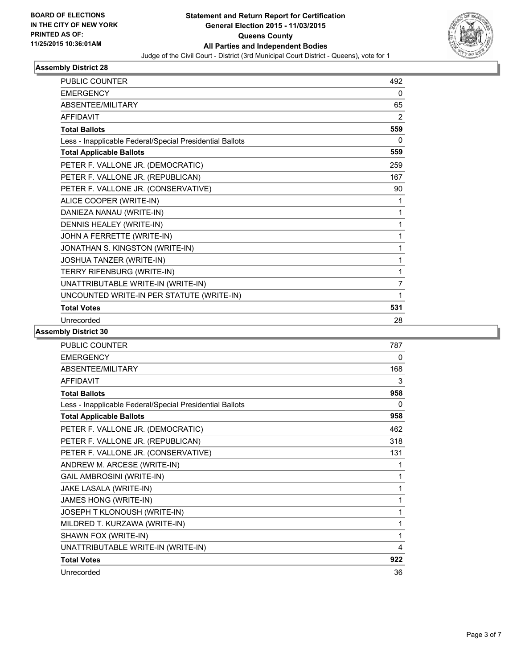

| <b>PUBLIC COUNTER</b>                                    | 492            |
|----------------------------------------------------------|----------------|
| <b>EMERGENCY</b>                                         | 0              |
| ABSENTEE/MILITARY                                        | 65             |
| <b>AFFIDAVIT</b>                                         | 2              |
| <b>Total Ballots</b>                                     | 559            |
| Less - Inapplicable Federal/Special Presidential Ballots | 0              |
| <b>Total Applicable Ballots</b>                          | 559            |
| PETER F. VALLONE JR. (DEMOCRATIC)                        | 259            |
| PETER F. VALLONE JR. (REPUBLICAN)                        | 167            |
| PETER F. VALLONE JR. (CONSERVATIVE)                      | 90             |
| ALICE COOPER (WRITE-IN)                                  | 1              |
| DANIEZA NANAU (WRITE-IN)                                 | 1              |
| DENNIS HEALEY (WRITE-IN)                                 | 1              |
| JOHN A FERRETTE (WRITE-IN)                               | 1              |
| JONATHAN S. KINGSTON (WRITE-IN)                          | 1              |
| JOSHUA TANZER (WRITE-IN)                                 | 1              |
| TERRY RIFENBURG (WRITE-IN)                               | 1              |
| UNATTRIBUTABLE WRITE-IN (WRITE-IN)                       | $\overline{7}$ |
| UNCOUNTED WRITE-IN PER STATUTE (WRITE-IN)                | 1              |
| <b>Total Votes</b>                                       | 531            |
| Unrecorded                                               | 28             |

| <b>PUBLIC COUNTER</b>                                    | 787 |
|----------------------------------------------------------|-----|
| <b>EMERGENCY</b>                                         | 0   |
| <b>ABSENTEE/MILITARY</b>                                 | 168 |
| <b>AFFIDAVIT</b>                                         | 3   |
| <b>Total Ballots</b>                                     | 958 |
| Less - Inapplicable Federal/Special Presidential Ballots | 0   |
| <b>Total Applicable Ballots</b>                          | 958 |
| PETER F. VALLONE JR. (DEMOCRATIC)                        | 462 |
| PETER F. VALLONE JR. (REPUBLICAN)                        | 318 |
| PETER F. VALLONE JR. (CONSERVATIVE)                      | 131 |
| ANDREW M. ARCESE (WRITE-IN)                              | 1   |
| <b>GAIL AMBROSINI (WRITE-IN)</b>                         | 1   |
| JAKE LASALA (WRITE-IN)                                   | 1   |
| JAMES HONG (WRITE-IN)                                    | 1   |
| JOSEPH T KLONOUSH (WRITE-IN)                             | 1   |
| MILDRED T. KURZAWA (WRITE-IN)                            | 1   |
| SHAWN FOX (WRITE-IN)                                     | 1   |
| UNATTRIBUTABLE WRITE-IN (WRITE-IN)                       | 4   |
| <b>Total Votes</b>                                       | 922 |
| Unrecorded                                               | 36  |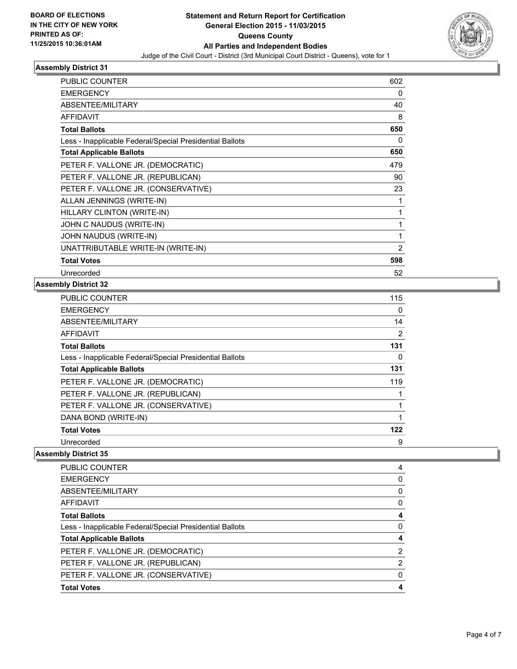

| <b>PUBLIC COUNTER</b>                                    | 602 |
|----------------------------------------------------------|-----|
| <b>EMERGENCY</b>                                         | 0   |
| ABSENTEE/MILITARY                                        | 40  |
| <b>AFFIDAVIT</b>                                         | 8   |
| <b>Total Ballots</b>                                     | 650 |
| Less - Inapplicable Federal/Special Presidential Ballots | 0   |
| <b>Total Applicable Ballots</b>                          | 650 |
| PETER F. VALLONE JR. (DEMOCRATIC)                        | 479 |
| PETER F. VALLONE JR. (REPUBLICAN)                        | 90  |
| PETER F. VALLONE JR. (CONSERVATIVE)                      | 23  |
| ALLAN JENNINGS (WRITE-IN)                                | 1   |
| HILLARY CLINTON (WRITE-IN)                               | 1   |
| JOHN C NAUDUS (WRITE-IN)                                 | 1   |
| JOHN NAUDUS (WRITE-IN)                                   | 1   |
| UNATTRIBUTABLE WRITE-IN (WRITE-IN)                       | 2   |
| <b>Total Votes</b>                                       | 598 |
| Unrecorded                                               | 52  |

# **Assembly District 32**

| <b>PUBLIC COUNTER</b>                                    | 115 |
|----------------------------------------------------------|-----|
| <b>EMERGENCY</b>                                         | 0   |
| ABSENTEE/MILITARY                                        | 14  |
| AFFIDAVIT                                                | 2   |
| <b>Total Ballots</b>                                     | 131 |
| Less - Inapplicable Federal/Special Presidential Ballots | 0   |
| <b>Total Applicable Ballots</b>                          | 131 |
| PETER F. VALLONE JR. (DEMOCRATIC)                        | 119 |
| PETER F. VALLONE JR. (REPUBLICAN)                        |     |
| PETER F. VALLONE JR. (CONSERVATIVE)                      |     |
| DANA BOND (WRITE-IN)                                     |     |
| <b>Total Votes</b>                                       | 122 |
| Unrecorded                                               | 9   |

| <b>PUBLIC COUNTER</b>                                    | 4 |
|----------------------------------------------------------|---|
| <b>EMERGENCY</b>                                         | 0 |
| ABSENTEE/MILITARY                                        | 0 |
| <b>AFFIDAVIT</b>                                         | 0 |
| <b>Total Ballots</b>                                     |   |
| Less - Inapplicable Federal/Special Presidential Ballots | 0 |
| <b>Total Applicable Ballots</b>                          | 4 |
| PETER F. VALLONE JR. (DEMOCRATIC)                        | 2 |
| PETER F. VALLONE JR. (REPUBLICAN)                        | 2 |
| PETER F. VALLONE JR. (CONSERVATIVE)                      | 0 |
| <b>Total Votes</b>                                       |   |
|                                                          |   |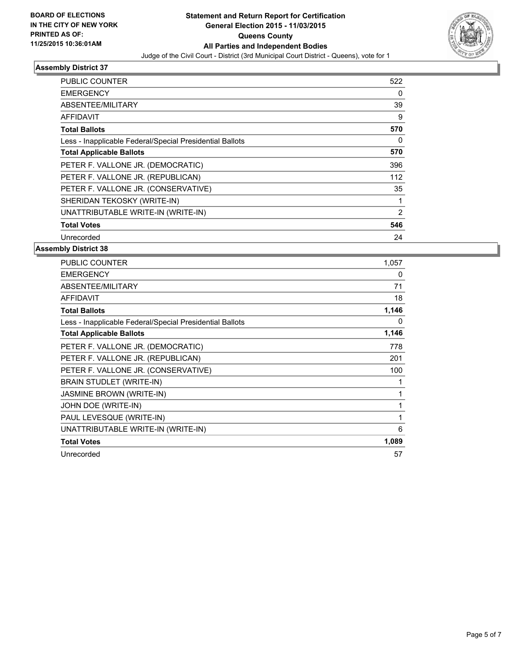

| PUBLIC COUNTER                                           | 522            |
|----------------------------------------------------------|----------------|
| <b>EMERGENCY</b>                                         | 0              |
| ABSENTEE/MILITARY                                        | 39             |
| <b>AFFIDAVIT</b>                                         | 9              |
| <b>Total Ballots</b>                                     | 570            |
| Less - Inapplicable Federal/Special Presidential Ballots | 0              |
| <b>Total Applicable Ballots</b>                          | 570            |
| PETER F. VALLONE JR. (DEMOCRATIC)                        | 396            |
| PETER F. VALLONE JR. (REPUBLICAN)                        | 112            |
| PETER F. VALLONE JR. (CONSERVATIVE)                      | 35             |
| SHERIDAN TEKOSKY (WRITE-IN)                              |                |
| UNATTRIBUTABLE WRITE-IN (WRITE-IN)                       | $\overline{2}$ |
| <b>Total Votes</b>                                       | 546            |
| Unrecorded                                               | 24             |

| <b>PUBLIC COUNTER</b>                                    | 1,057 |
|----------------------------------------------------------|-------|
| <b>EMERGENCY</b>                                         | 0     |
| ABSENTEE/MILITARY                                        | 71    |
| <b>AFFIDAVIT</b>                                         | 18    |
| <b>Total Ballots</b>                                     | 1,146 |
| Less - Inapplicable Federal/Special Presidential Ballots | 0     |
| <b>Total Applicable Ballots</b>                          | 1,146 |
| PETER F. VALLONE JR. (DEMOCRATIC)                        | 778   |
| PETER F. VALLONE JR. (REPUBLICAN)                        | 201   |
| PETER F. VALLONE JR. (CONSERVATIVE)                      | 100   |
| BRAIN STUDLET (WRITE-IN)                                 | 1     |
| <b>JASMINE BROWN (WRITE-IN)</b>                          | 1     |
| JOHN DOE (WRITE-IN)                                      | 1     |
| PAUL LEVESQUE (WRITE-IN)                                 | 1     |
| UNATTRIBUTABLE WRITE-IN (WRITE-IN)                       | 6     |
| <b>Total Votes</b>                                       | 1,089 |
| Unrecorded                                               | 57    |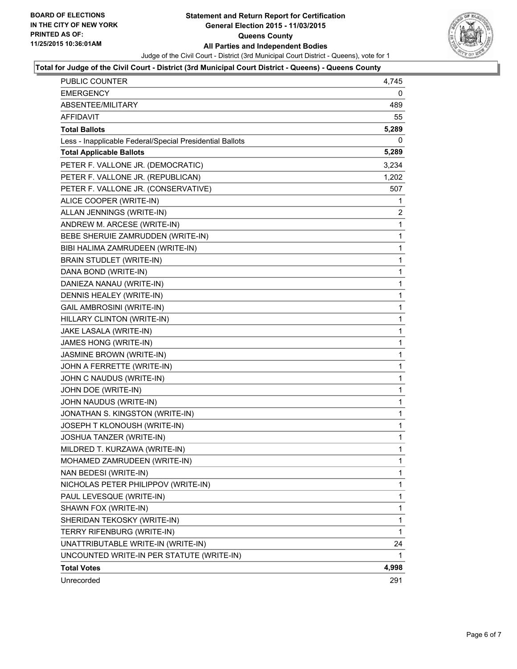

### **Total for Judge of the Civil Court - District (3rd Municipal Court District - Queens) - Queens County**

| PUBLIC COUNTER                                           | 4,745        |
|----------------------------------------------------------|--------------|
| <b>EMERGENCY</b>                                         | 0            |
| ABSENTEE/MILITARY                                        | 489          |
| <b>AFFIDAVIT</b>                                         | 55           |
| <b>Total Ballots</b>                                     | 5,289        |
| Less - Inapplicable Federal/Special Presidential Ballots | 0            |
| <b>Total Applicable Ballots</b>                          | 5,289        |
| PETER F. VALLONE JR. (DEMOCRATIC)                        | 3,234        |
| PETER F. VALLONE JR. (REPUBLICAN)                        | 1,202        |
| PETER F. VALLONE JR. (CONSERVATIVE)                      | 507          |
| ALICE COOPER (WRITE-IN)                                  | 1            |
| ALLAN JENNINGS (WRITE-IN)                                | 2            |
| ANDREW M. ARCESE (WRITE-IN)                              | 1            |
| BEBE SHERUIE ZAMRUDDEN (WRITE-IN)                        | 1            |
| BIBI HALIMA ZAMRUDEEN (WRITE-IN)                         | 1            |
| <b>BRAIN STUDLET (WRITE-IN)</b>                          | 1            |
| DANA BOND (WRITE-IN)                                     | 1            |
| DANIEZA NANAU (WRITE-IN)                                 | 1            |
| DENNIS HEALEY (WRITE-IN)                                 | 1            |
| <b>GAIL AMBROSINI (WRITE-IN)</b>                         | 1            |
| HILLARY CLINTON (WRITE-IN)                               | 1            |
| JAKE LASALA (WRITE-IN)                                   | 1            |
| JAMES HONG (WRITE-IN)                                    | 1            |
| JASMINE BROWN (WRITE-IN)                                 | 1            |
| JOHN A FERRETTE (WRITE-IN)                               | 1            |
| JOHN C NAUDUS (WRITE-IN)                                 | 1            |
| JOHN DOE (WRITE-IN)                                      | 1            |
| JOHN NAUDUS (WRITE-IN)                                   | 1            |
| JONATHAN S. KINGSTON (WRITE-IN)                          | 1            |
| JOSEPH T KLONOUSH (WRITE-IN)                             | 1            |
| JOSHUA TANZER (WRITE-IN)                                 | $\mathbf{1}$ |
| MILDRED T. KURZAWA (WRITE-IN)                            | 1            |
| MOHAMED ZAMRUDEEN (WRITE-IN)                             | 1            |
| NAN BEDESI (WRITE-IN)                                    | 1            |
| NICHOLAS PETER PHILIPPOV (WRITE-IN)                      | 1            |
| PAUL LEVESQUE (WRITE-IN)                                 | $\mathbf{1}$ |
| SHAWN FOX (WRITE-IN)                                     | 1            |
| SHERIDAN TEKOSKY (WRITE-IN)                              | 1            |
| TERRY RIFENBURG (WRITE-IN)                               | $\mathbf{1}$ |
| UNATTRIBUTABLE WRITE-IN (WRITE-IN)                       | 24           |
| UNCOUNTED WRITE-IN PER STATUTE (WRITE-IN)                | 1            |
| <b>Total Votes</b>                                       | 4,998        |
| Unrecorded                                               | 291          |
|                                                          |              |